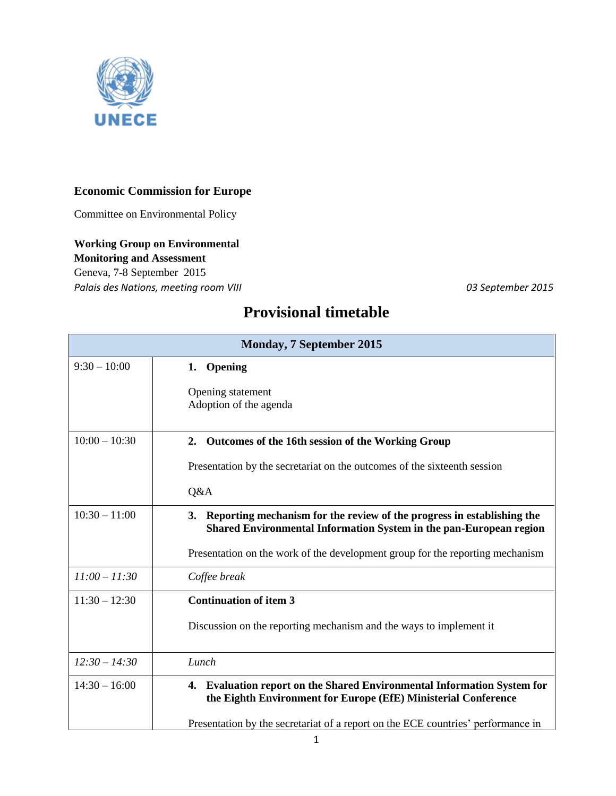

## **Economic Commission for Europe**

Committee on Environmental Policy

## **Working Group on Environmental**

**Monitoring and Assessment**

Geneva, 7-8 September 2015 *Palais des Nations, meeting room VIII 03 September 2015*

## **Provisional timetable**

| <b>Monday, 7 September 2015</b> |                                                                                                                                                 |
|---------------------------------|-------------------------------------------------------------------------------------------------------------------------------------------------|
| $9:30 - 10:00$                  | 1. Opening                                                                                                                                      |
|                                 | Opening statement<br>Adoption of the agenda                                                                                                     |
| $10:00 - 10:30$                 | 2. Outcomes of the 16th session of the Working Group                                                                                            |
|                                 | Presentation by the secretariat on the outcomes of the sixteenth session                                                                        |
|                                 | Q&A                                                                                                                                             |
| $10:30 - 11:00$                 | 3. Reporting mechanism for the review of the progress in establishing the<br>Shared Environmental Information System in the pan-European region |
|                                 | Presentation on the work of the development group for the reporting mechanism                                                                   |
| $11:00 - 11:30$                 | Coffee break                                                                                                                                    |
| $11:30 - 12:30$                 | <b>Continuation of item 3</b>                                                                                                                   |
|                                 | Discussion on the reporting mechanism and the ways to implement it                                                                              |
| $12:30 - 14:30$                 | Lunch                                                                                                                                           |
| $14:30 - 16:00$                 | 4. Evaluation report on the Shared Environmental Information System for<br>the Eighth Environment for Europe (EfE) Ministerial Conference       |
|                                 | Presentation by the secretariat of a report on the ECE countries' performance in                                                                |